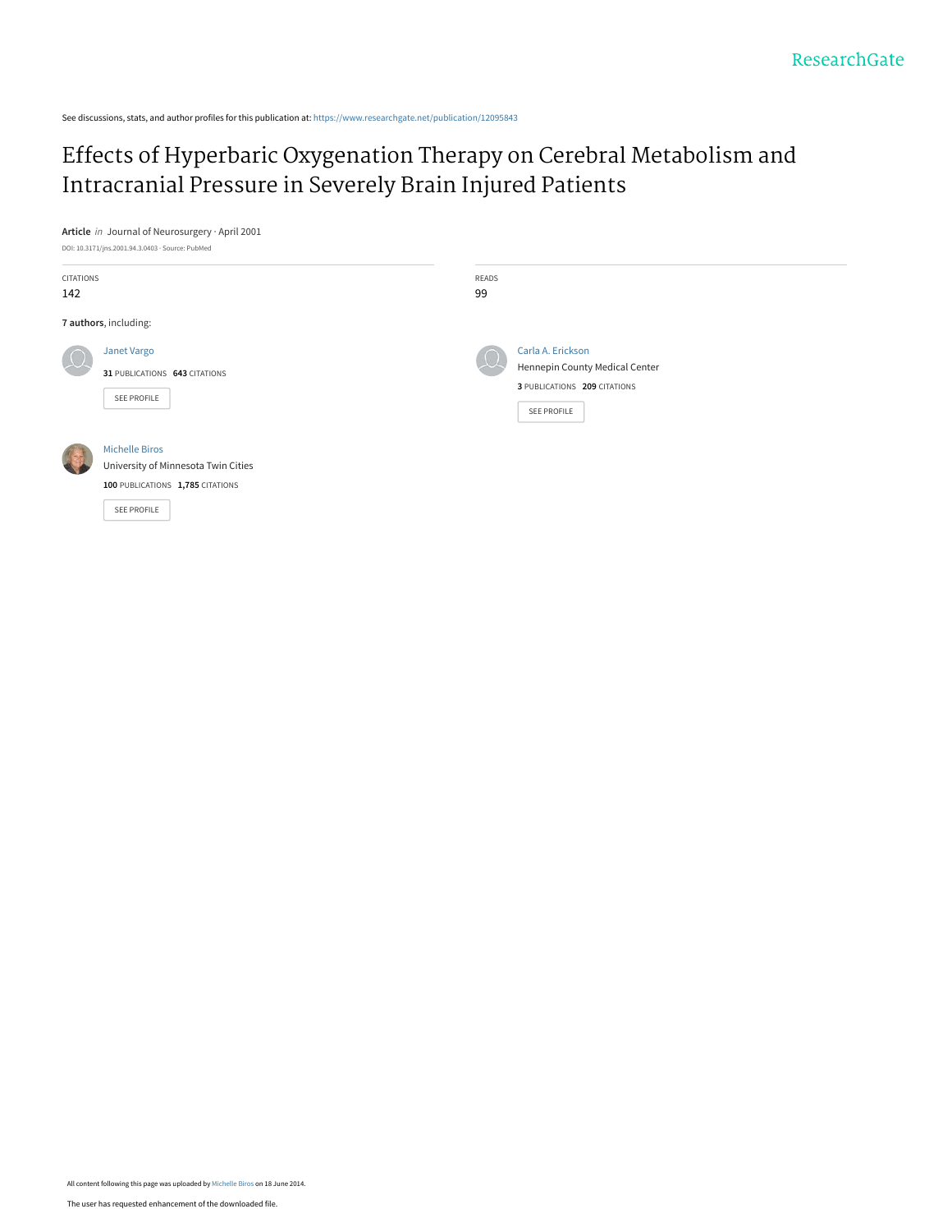See discussions, stats, and author profiles for this publication at: [https://www.researchgate.net/publication/12095843](https://www.researchgate.net/publication/12095843_Effects_of_Hyperbaric_Oxygenation_Therapy_on_Cerebral_Metabolism_and_Intracranial_Pressure_in_Severely_Brain_Injured_Patients?enrichId=rgreq-21f8752575d0c01df18b93bdb87fccd6-XXX&enrichSource=Y292ZXJQYWdlOzEyMDk1ODQzO0FTOjExNTA1Njc2MzIxNTg3NEAxNDA0NDQzMDc5MDQy&el=1_x_2&_esc=publicationCoverPdf)

[Effects of Hyperbaric Oxygenation Therapy on Cerebral Metabolism and](https://www.researchgate.net/publication/12095843_Effects_of_Hyperbaric_Oxygenation_Therapy_on_Cerebral_Metabolism_and_Intracranial_Pressure_in_Severely_Brain_Injured_Patients?enrichId=rgreq-21f8752575d0c01df18b93bdb87fccd6-XXX&enrichSource=Y292ZXJQYWdlOzEyMDk1ODQzO0FTOjExNTA1Njc2MzIxNTg3NEAxNDA0NDQzMDc5MDQy&el=1_x_3&_esc=publicationCoverPdf) Intracranial Pressure in Severely Brain Injured Patients

## **Article** in Journal of Neurosurgery · April 2001

| DOI: 10.3171/jns.2001.94.3.0403 · Source: PubMed |                                                                                                                 |               |                                                                                                    |
|--------------------------------------------------|-----------------------------------------------------------------------------------------------------------------|---------------|----------------------------------------------------------------------------------------------------|
| CITATIONS<br>142                                 |                                                                                                                 | READS<br>99   |                                                                                                    |
| 7 authors, including:                            |                                                                                                                 |               |                                                                                                    |
|                                                  | Janet Vargo<br>31 PUBLICATIONS 643 CITATIONS<br>SEE PROFILE                                                     | $\frac{1}{2}$ | Carla A. Erickson<br>Hennepin County Medical Center<br>3 PUBLICATIONS 209 CITATIONS<br>SEE PROFILE |
|                                                  | <b>Michelle Biros</b><br>University of Minnesota Twin Cities<br>100 PUBLICATIONS 1,785 CITATIONS<br>SEE PROFILE |               |                                                                                                    |